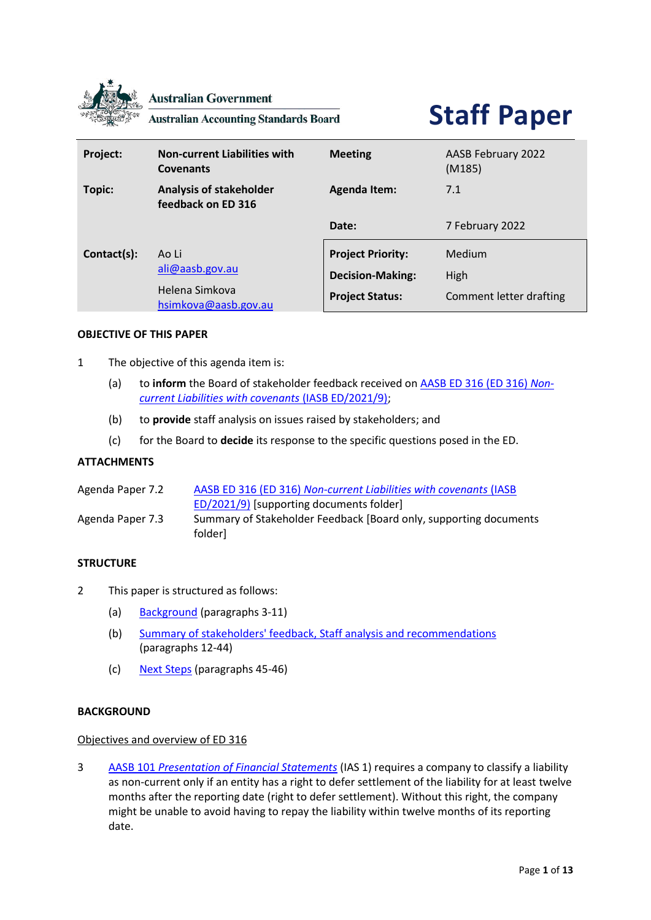

**Australian Government** 

**Australian Accounting Standards Board** 

# **Staff Paper**

| Project:    | <b>Non-current Liabilities with</b><br><b>Covenants</b>            | <b>Meeting</b>                                                                | AASB February 2022<br>(M185)              |
|-------------|--------------------------------------------------------------------|-------------------------------------------------------------------------------|-------------------------------------------|
| Topic:      | <b>Analysis of stakeholder</b><br>feedback on ED 316               | <b>Agenda Item:</b>                                                           | 7.1                                       |
|             |                                                                    | Date:                                                                         | 7 February 2022                           |
| Contact(s): | Ao Li<br>ali@aasb.gov.au<br>Helena Simkova<br>hsimkova@aasb.gov.au | <b>Project Priority:</b><br><b>Decision-Making:</b><br><b>Project Status:</b> | Medium<br>High<br>Comment letter drafting |

## **OBJECTIVE OF THIS PAPER**

- 1 The objective of this agenda item is:
	- (a) to **inform** the Board of stakeholder feedback received o[n AASB](https://aasb.gov.au/admin/file/content105/c9/ACCED316_12-21.pdf) ED 316 (ED 316) *Non[current Liabilities with covenants](https://aasb.gov.au/admin/file/content105/c9/ACCED316_12-21.pdf)* (IASB ED/2021/9);
	- (b) to **provide** staff analysis on issues raised by stakeholders; and
	- (c) for the Board to **decide** its response to the specific questions posed in the ED.

## **ATTACHMENTS**

| Agenda Paper 7.2 | AASB ED 316 (ED 316) Non-current Liabilities with covenants (IASB            |
|------------------|------------------------------------------------------------------------------|
|                  | ED/2021/9) [supporting documents folder]                                     |
| Agenda Paper 7.3 | Summary of Stakeholder Feedback [Board only, supporting documents<br>folderl |

## **STRUCTURE**

- 2 This paper is structured as follows:
	- (a) [Background](#page-0-0) (paragraphs [3](#page-0-1)[-11\)](#page-2-0)
	- (b) [Summary of stakeholders' feedback, Staff analysis and recommendations](#page-2-1) (paragraphs [12](#page-2-2)[-44\)](#page-11-0)
	- (c) [Next Steps](#page-11-1) (paragraphs [45](#page-11-2)[-46\)](#page-11-3)

## <span id="page-0-0"></span>**BACKGROUND**

#### Objectives and overview of ED 316

<span id="page-0-1"></span>3 AASB 101 *[Presentation of Financial Statements](https://www.aasb.gov.au/admin/file/content105/c9/AASB101_07-15_COMPmar20_07-21.pdf)* (IAS 1) requires a company to classify a liability as non-current only if an entity has a right to defer settlement of the liability for at least twelve months after the reporting date (right to defer settlement). Without this right, the company might be unable to avoid having to repay the liability within twelve months of its reporting date.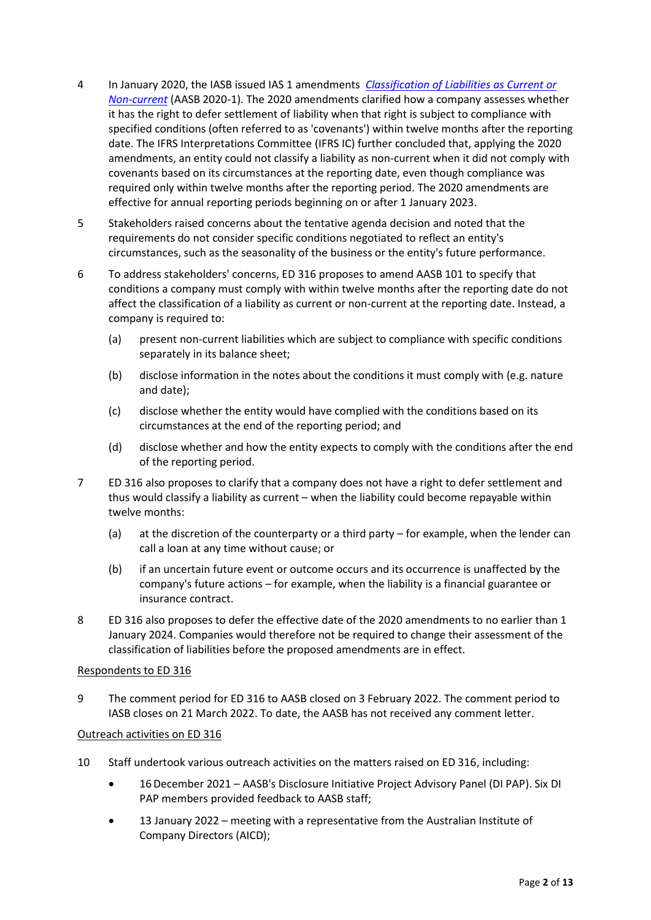- 4 In January 2020, the IASB issued IAS 1 amendments *[Classification of Liabilities as Current or](https://aasb.gov.au/admin/file/content105/c9/AASB_2020-1_03-20.pdf)  [Non-current](https://aasb.gov.au/admin/file/content105/c9/AASB_2020-1_03-20.pdf)* (AASB 2020-1). The 2020 amendments clarified how a company assesses whether it has the right to defer settlement of liability when that right is subject to compliance with specified conditions (often referred to as 'covenants') within twelve months after the reporting date. The IFRS Interpretations Committee (IFRS IC) further concluded that, applying the 2020 amendments, an entity could not classify a liability as non-current when it did not comply with covenants based on its circumstances at the reporting date, even though compliance was required only within twelve months after the reporting period. The 2020 amendments are effective for annual reporting periods beginning on or after 1 January 2023.
- <span id="page-1-0"></span>5 Stakeholders raised concerns about the tentative agenda decision and noted that the requirements do not consider specific conditions negotiated to reflect an entity's circumstances, such as the seasonality of the business or the entity's future performance.
- 6 To address stakeholders' concerns, ED 316 proposes to amend AASB 101 to specify that conditions a company must comply with within twelve months after the reporting date do not affect the classification of a liability as current or non-current at the reporting date. Instead, a company is required to:
	- (a) present non-current liabilities which are subject to compliance with specific conditions separately in its balance sheet;
	- (b) disclose information in the notes about the conditions it must comply with (e.g. nature and date);
	- (c) disclose whether the entity would have complied with the conditions based on its circumstances at the end of the reporting period; and
	- (d) disclose whether and how the entity expects to comply with the conditions after the end of the reporting period.
- 7 ED 316 also proposes to clarify that a company does not have a right to defer settlement and thus would classify a liability as current – when the liability could become repayable within twelve months:
	- (a) at the discretion of the counterparty or a third party for example, when the lender can call a loan at any time without cause; or
	- (b) if an uncertain future event or outcome occurs and its occurrence is unaffected by the company's future actions – for example, when the liability is a financial guarantee or insurance contract.
- 8 ED 316 also proposes to defer the effective date of the 2020 amendments to no earlier than 1 January 2024. Companies would therefore not be required to change their assessment of the classification of liabilities before the proposed amendments are in effect.

## Respondents to ED 316

9 The comment period for ED 316 to AASB closed on 3 February 2022. The comment period to IASB closes on 21 March 2022. To date, the AASB has not received any comment letter.

## Outreach activities on ED 316

- 10 Staff undertook various outreach activities on the matters raised on ED 316, including:
	- 16December 2021 AASB's Disclosure Initiative Project Advisory Panel (DI PAP). Six DI PAP members provided feedback to AASB staff;
	- 13 January 2022 meeting with a representative from the Australian Institute of Company Directors (AICD);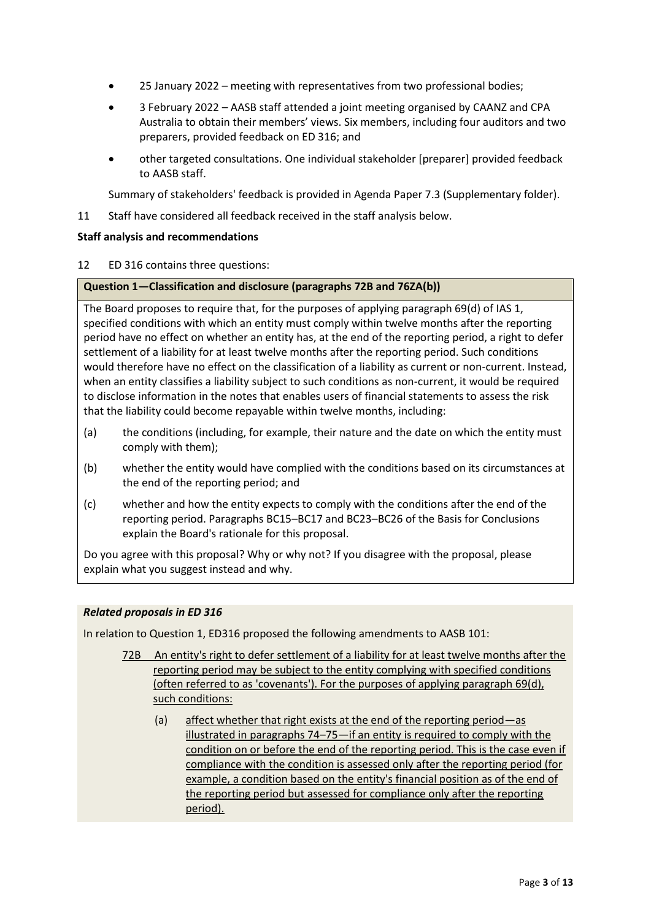- 25 January 2022 meeting with representatives from two professional bodies;
- 3 February 2022 AASB staff attended a joint meeting organised by CAANZ and CPA Australia to obtain their members' views. Six members, including four auditors and two preparers, provided feedback on ED 316; and
- other targeted consultations. One individual stakeholder [preparer] provided feedback to AASB staff.

Summary of stakeholders' feedback is provided in Agenda Paper 7.3 (Supplementary folder).

<span id="page-2-0"></span>11 Staff have considered all feedback received in the staff analysis below.

# <span id="page-2-1"></span>**Staff analysis and recommendations**

<span id="page-2-2"></span>12 ED 316 contains three questions:

# **Question 1—Classification and disclosure (paragraphs 72B and 76ZA(b))**

The Board proposes to require that, for the purposes of applying paragraph 69(d) of IAS 1, specified conditions with which an entity must comply within twelve months after the reporting period have no effect on whether an entity has, at the end of the reporting period, a right to defer settlement of a liability for at least twelve months after the reporting period. Such conditions would therefore have no effect on the classification of a liability as current or non-current. Instead, when an entity classifies a liability subject to such conditions as non-current, it would be required to disclose information in the notes that enables users of financial statements to assess the risk that the liability could become repayable within twelve months, including:

- (a) the conditions (including, for example, their nature and the date on which the entity must comply with them);
- (b) whether the entity would have complied with the conditions based on its circumstances at the end of the reporting period; and
- (c) whether and how the entity expects to comply with the conditions after the end of the reporting period. Paragraphs BC15–BC17 and BC23–BC26 of the Basis for Conclusions explain the Board's rationale for this proposal.

Do you agree with this proposal? Why or why not? If you disagree with the proposal, please explain what you suggest instead and why.

# *Related proposals in ED 316*

In relation to Question 1, ED316 proposed the following amendments to AASB 101:

- 72B An entity's right to defer settlement of a liability for at least twelve months after the reporting period may be subject to the entity complying with specified conditions (often referred to as 'covenants'). For the purposes of applying paragraph 69(d), such conditions:
	- (a) affect whether that right exists at the end of the reporting period—as illustrated in paragraphs 74–75—if an entity is required to comply with the condition on or before the end of the reporting period. This is the case even if compliance with the condition is assessed only after the reporting period (for example, a condition based on the entity's financial position as of the end of the reporting period but assessed for compliance only after the reporting period).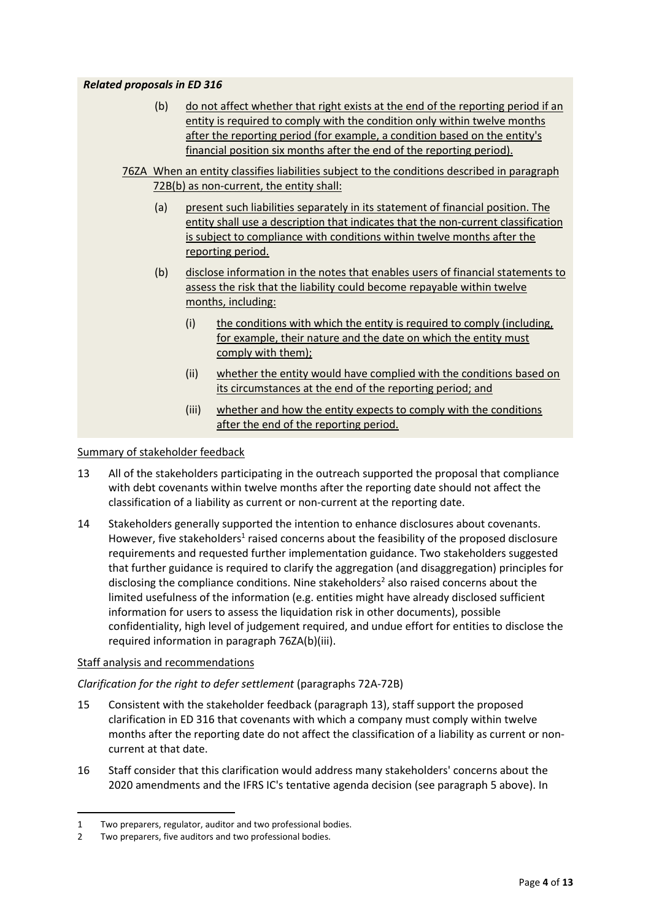## *Related proposals in ED 316*

- (b) do not affect whether that right exists at the end of the reporting period if an entity is required to comply with the condition only within twelve months after the reporting period (for example, a condition based on the entity's financial position six months after the end of the reporting period).
- 76ZA When an entity classifies liabilities subject to the conditions described in paragraph 72B(b) as non-current, the entity shall:
	- (a) present such liabilities separately in its statement of financial position. The entity shall use a description that indicates that the non-current classification is subject to compliance with conditions within twelve months after the reporting period.
	- (b) disclose information in the notes that enables users of financial statements to assess the risk that the liability could become repayable within twelve months, including:
		- (i) the conditions with which the entity is required to comply (including, for example, their nature and the date on which the entity must comply with them);
		- (ii) whether the entity would have complied with the conditions based on its circumstances at the end of the reporting period; and
		- (iii) whether and how the entity expects to comply with the conditions after the end of the reporting period.

## Summary of stakeholder feedback

- <span id="page-3-0"></span>13 All of the stakeholders participating in the outreach supported the proposal that compliance with debt covenants within twelve months after the reporting date should not affect the classification of a liability as current or non-current at the reporting date.
- 14 Stakeholders generally supported the intention to enhance disclosures about covenants. However, five stakeholders<sup>1</sup> raised concerns about the feasibility of the proposed disclosure requirements and requested further implementation guidance. Two stakeholders suggested that further guidance is required to clarify the aggregation (and disaggregation) principles for disclosing the compliance conditions. Nine stakeholders <sup>2</sup> also raised concerns about the limited usefulness of the information (e.g. entities might have already disclosed sufficient information for users to assess the liquidation risk in other documents), possible confidentiality, high level of judgement required, and undue effort for entities to disclose the required information in paragraph 76ZA(b)(iii).

## Staff analysis and recommendations

# *Clarification for the right to defer settlement* (paragraphs 72A-72B)

- 15 Consistent with the stakeholder feedback (paragraph [13\)](#page-3-0), staff support the proposed clarification in ED 316 that covenants with which a company must comply within twelve months after the reporting date do not affect the classification of a liability as current or noncurrent at that date.
- 16 Staff consider that this clarification would address many stakeholders' concerns about the 2020 amendments and the IFRS IC's tentative agenda decision (see paragrap[h 5](#page-1-0) above). In

<sup>1</sup> Two preparers, regulator, auditor and two professional bodies.

<sup>2</sup> Two preparers, five auditors and two professional bodies.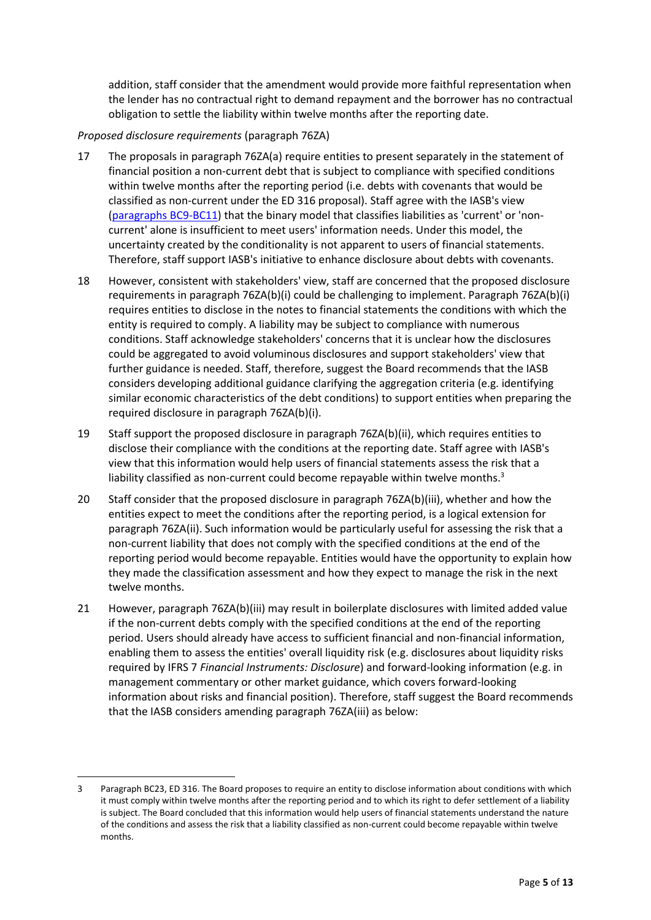addition, staff consider that the amendment would provide more faithful representation when the lender has no contractual right to demand repayment and the borrower has no contractual obligation to settle the liability within twelve months after the reporting date.

## *Proposed disclosure requirements* (paragraph 76ZA)

- 17 The proposals in paragraph 76ZA(a) require entities to present separately in the statement of financial position a non-current debt that is subject to compliance with specified conditions within twelve months after the reporting period (i.e. debts with covenants that would be classified as non-current under the ED 316 proposal). Staff agree with the IASB's view [\(paragraphs BC9-BC11\)](https://aasb.gov.au/admin/file/content105/c9/ACCED316_12-21.pdf) that the binary model that classifies liabilities as 'current' or 'noncurrent' alone is insufficient to meet users' information needs. Under this model, the uncertainty created by the conditionality is not apparent to users of financial statements. Therefore, staff support IASB's initiative to enhance disclosure about debts with covenants.
- 18 However, consistent with stakeholders' view, staff are concerned that the proposed disclosure requirements in paragraph 76ZA(b)(i) could be challenging to implement. Paragraph 76ZA(b)(i) requires entities to disclose in the notes to financial statements the conditions with which the entity is required to comply. A liability may be subject to compliance with numerous conditions. Staff acknowledge stakeholders' concerns that it is unclear how the disclosures could be aggregated to avoid voluminous disclosures and support stakeholders' view that further guidance is needed. Staff, therefore, suggest the Board recommends that the IASB considers developing additional guidance clarifying the aggregation criteria (e.g. identifying similar economic characteristics of the debt conditions) to support entities when preparing the required disclosure in paragraph 76ZA(b)(i).
- 19 Staff support the proposed disclosure in paragraph 76ZA(b)(ii), which requires entities to disclose their compliance with the conditions at the reporting date. Staff agree with IASB's view that this information would help users of financial statements assess the risk that a liability classified as non-current could become repayable within twelve months.<sup>3</sup>
- 20 Staff consider that the proposed disclosure in paragraph 76ZA(b)(iii), whether and how the entities expect to meet the conditions after the reporting period, is a logical extension for paragraph 76ZA(ii). Such information would be particularly useful for assessing the risk that a non-current liability that does not comply with the specified conditions at the end of the reporting period would become repayable. Entities would have the opportunity to explain how they made the classification assessment and how they expect to manage the risk in the next twelve months.
- 21 However, paragraph 76ZA(b)(iii) may result in boilerplate disclosures with limited added value if the non-current debts comply with the specified conditions at the end of the reporting period. Users should already have access to sufficient financial and non-financial information, enabling them to assess the entities' overall liquidity risk (e.g. disclosures about liquidity risks required by IFRS 7 *Financial Instruments: Disclosure*) and forward-looking information (e.g. in management commentary or other market guidance, which covers forward-looking information about risks and financial position). Therefore, staff suggest the Board recommends that the IASB considers amending paragraph 76ZA(iii) as below:

<sup>3</sup> Paragraph BC23, ED 316. The Board proposes to require an entity to disclose information about conditions with which it must comply within twelve months after the reporting period and to which its right to defer settlement of a liability is subject. The Board concluded that this information would help users of financial statements understand the nature of the conditions and assess the risk that a liability classified as non-current could become repayable within twelve months.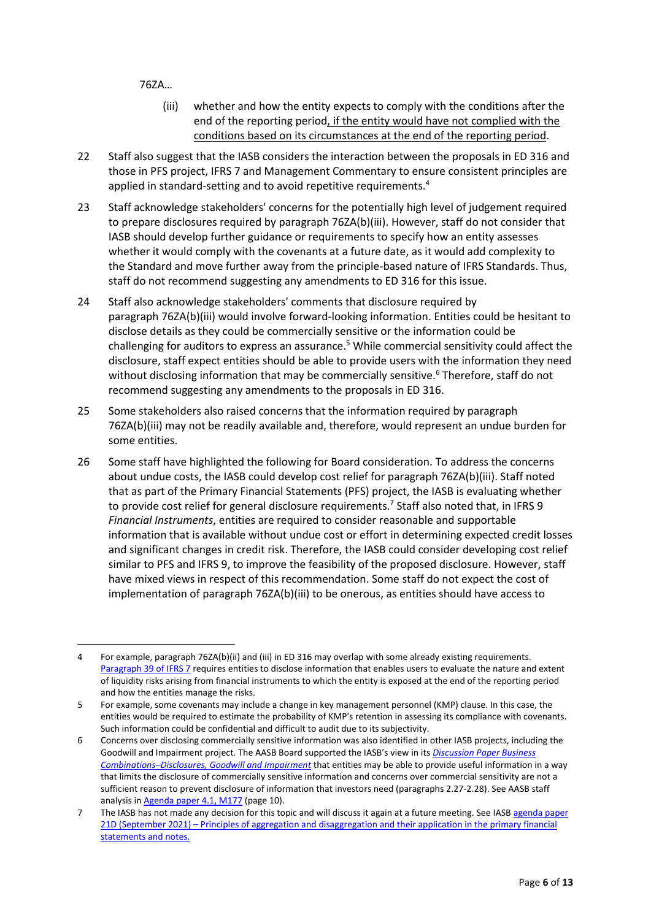76ZA…

- (iii) whether and how the entity expects to comply with the conditions after the end of the reporting period, if the entity would have not complied with the conditions based on its circumstances at the end of the reporting period.
- 22 Staff also suggest that the IASB considers the interaction between the proposals in ED 316 and those in PFS project, IFRS 7 and Management Commentary to ensure consistent principles are applied in standard-setting and to avoid repetitive requirements.<sup>4</sup>
- 23 Staff acknowledge stakeholders' concerns for the potentially high level of judgement required to prepare disclosures required by paragraph 76ZA(b)(iii). However, staff do not consider that IASB should develop further guidance or requirements to specify how an entity assesses whether it would comply with the covenants at a future date, as it would add complexity to the Standard and move further away from the principle-based nature of IFRS Standards. Thus, staff do not recommend suggesting any amendments to ED 316 for this issue.
- 24 Staff also acknowledge stakeholders' comments that disclosure required by paragraph 76ZA(b)(iii) would involve forward-looking information. Entities could be hesitant to disclose details as they could be commercially sensitive or the information could be challenging for auditors to express an assurance. <sup>5</sup> While commercial sensitivity could affect the disclosure, staff expect entities should be able to provide users with the information they need without disclosing information that may be commercially sensitive.<sup>6</sup> Therefore, staff do not recommend suggesting any amendments to the proposals in ED 316.
- 25 Some stakeholders also raised concerns that the information required by paragraph 76ZA(b)(iii) may not be readily available and, therefore, would represent an undue burden for some entities.
- <span id="page-5-0"></span>26 Some staff have highlighted the following for Board consideration. To address the concerns about undue costs, the IASB could develop cost relief for paragraph 76ZA(b)(iii). Staff noted that as part of the Primary Financial Statements (PFS) project, the IASB is evaluating whether to provide cost relief for general disclosure requirements. 7 Staff also noted that, in IFRS 9 *Financial Instruments*, entities are required to consider reasonable and supportable information that is available without undue cost or effort in determining expected credit losses and significant changes in credit risk. Therefore, the IASB could consider developing cost relief similar to PFS and IFRS 9, to improve the feasibility of the proposed disclosure. However, staff have mixed views in respect of this recommendation. Some staff do not expect the cost of implementation of paragraph 76ZA(b)(iii) to be onerous, as entities should have access to

<sup>4</sup> For example, paragraph 76ZA(b)(ii) and (iii) in ED 316 may overlap with some already existing requirements. [Paragraph 39 of IFRS 7](https://www.aasb.gov.au/admin/file/content105/c9/AASB7_08-15_COMPsep20_07-21.pdf) requires entities to disclose information that enables users to evaluate the nature and extent of liquidity risks arising from financial instruments to which the entity is exposed at the end of the reporting period and how the entities manage the risks.

<sup>5</sup> For example, some covenants may include a change in key management personnel (KMP) clause. In this case, the entities would be required to estimate the probability of KMP's retention in assessing its compliance with covenants. Such information could be confidential and difficult to audit due to its subjectivity.

<sup>6</sup> Concerns over disclosing commercially sensitive information was also identified in other IASB projects, including the Goodwill and Impairment project. The AASB Board supported the IASB's view in its *[Discussion Paper Business](https://www.ifrs.org/content/dam/ifrs/project/goodwill-and-impairment/goodwill-and-impairment-dp-march-2020.pdf)  Combinations–[Disclosures, Goodwill and Impairment](https://www.ifrs.org/content/dam/ifrs/project/goodwill-and-impairment/goodwill-and-impairment-dp-march-2020.pdf)* that entities may be able to provide useful information in a way that limits the disclosure of commercially sensitive information and concerns over commercial sensitivity are not a sufficient reason to prevent disclosure of information that investors need (paragraphs 2.27-2.28). See AASB staff analysis i[n Agenda paper 4.1, M177](https://www.aasb.gov.au/admin/file/content102/c3/4.1_SP_GoodwillImpairment_M177_PP.pdf) (page 10).

<sup>7</sup> The IASB has not made any decision for this topic and will discuss it again at a future meeting. See IASB agenda paper 21D (September 2021) – [Principles of aggregation and disaggregation and their application in the primary financial](https://www.ifrs.org/content/dam/ifrs/meetings/2021/september/iasb/ap21d-pfs-principles-of-aggregation-and-their-application-in-the-primary-financial-statements-and-the-notes.pdf)  [statements and notes.](https://www.ifrs.org/content/dam/ifrs/meetings/2021/september/iasb/ap21d-pfs-principles-of-aggregation-and-their-application-in-the-primary-financial-statements-and-the-notes.pdf)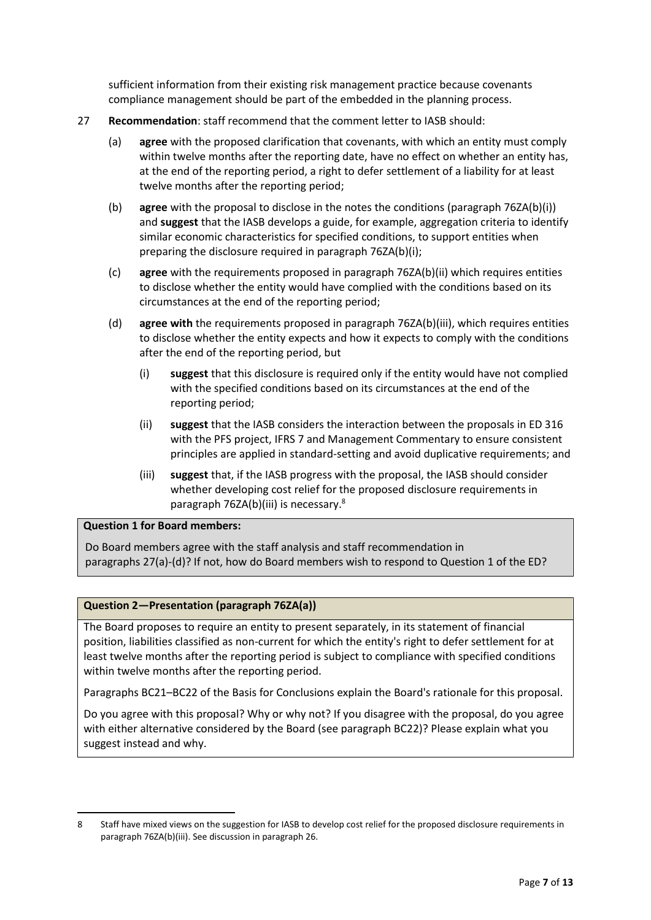sufficient information from their existing risk management practice because covenants compliance management should be part of the embedded in the planning process.

- <span id="page-6-1"></span><span id="page-6-0"></span>27 **Recommendation**: staff recommend that the comment letter to IASB should:
	- (a) **agree** with the proposed clarification that covenants, with which an entity must comply within twelve months after the reporting date, have no effect on whether an entity has, at the end of the reporting period, a right to defer settlement of a liability for at least twelve months after the reporting period;
	- (b) **agree** with the proposal to disclose in the notes the conditions (paragraph 76ZA(b)(i)) and **suggest** that the IASB develops a guide, for example, aggregation criteria to identify similar economic characteristics for specified conditions, to support entities when preparing the disclosure required in paragraph 76ZA(b)(i);
	- (c) **agree** with the requirements proposed in paragraph 76ZA(b)(ii) which requires entities to disclose whether the entity would have complied with the conditions based on its circumstances at the end of the reporting period;
	- (d) **agree with** the requirements proposed in paragraph 76ZA(b)(iii), which requires entities to disclose whether the entity expects and how it expects to comply with the conditions after the end of the reporting period, but
		- (i) **suggest** that this disclosure is required only if the entity would have not complied with the specified conditions based on its circumstances at the end of the reporting period;
		- (ii) **suggest** that the IASB considers the interaction between the proposals in ED 316 with the PFS project, IFRS 7 and Management Commentary to ensure consistent principles are applied in standard-setting and avoid duplicative requirements; and
		- (iii) **suggest** that, if the IASB progress with the proposal, the IASB should consider whether developing cost relief for the proposed disclosure requirements in paragraph 76ZA(b)(iii) is necessary. 8

## **Question 1 for Board members:**

Do Board members agree with the staff analysis and staff recommendation in paragraphs [27](#page-6-0)[\(a\)-](#page-6-1)(d)? If not, how do Board members wish to respond to Question 1 of the ED?

## **Question 2—Presentation (paragraph 76ZA(a))**

The Board proposes to require an entity to present separately, in its statement of financial position, liabilities classified as non-current for which the entity's right to defer settlement for at least twelve months after the reporting period is subject to compliance with specified conditions within twelve months after the reporting period.

Paragraphs BC21–BC22 of the Basis for Conclusions explain the Board's rationale for this proposal.

Do you agree with this proposal? Why or why not? If you disagree with the proposal, do you agree with either alternative considered by the Board (see paragraph BC22)? Please explain what you suggest instead and why.

<sup>8</sup> Staff have mixed views on the suggestion for IASB to develop cost relief for the proposed disclosure requirements in paragraph 76ZA(b)(iii). See discussion in paragrap[h 26.](#page-5-0)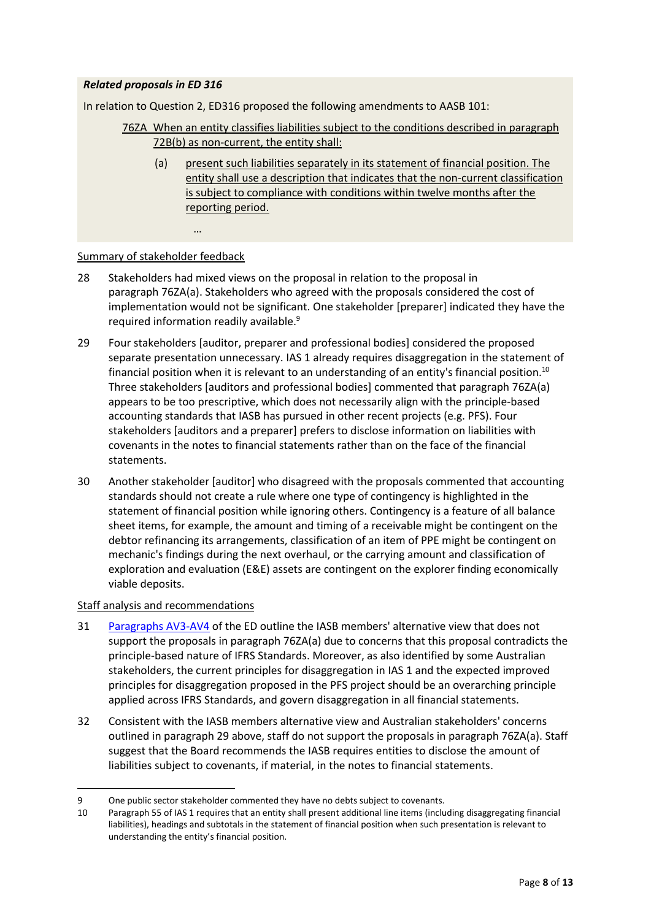# *Related proposals in ED 316*

In relation to Question 2, ED316 proposed the following amendments to AASB 101:

- 76ZA When an entity classifies liabilities subject to the conditions described in paragraph 72B(b) as non-current, the entity shall:
	- (a) present such liabilities separately in its statement of financial position. The entity shall use a description that indicates that the non-current classification is subject to compliance with conditions within twelve months after the reporting period.

#### Summary of stakeholder feedback

…

- 28 Stakeholders had mixed views on the proposal in relation to the proposal in paragraph 76ZA(a). Stakeholders who agreed with the proposals considered the cost of implementation would not be significant. One stakeholder [preparer] indicated they have the required information readily available.<sup>9</sup>
- <span id="page-7-0"></span>29 Four stakeholders [auditor, preparer and professional bodies] considered the proposed separate presentation unnecessary. IAS 1 already requires disaggregation in the statement of financial position when it is relevant to an understanding of an entity's financial position.<sup>10</sup> Three stakeholders [auditors and professional bodies] commented that paragraph 76ZA(a) appears to be too prescriptive, which does not necessarily align with the principle-based accounting standards that IASB has pursued in other recent projects (e.g. PFS). Four stakeholders [auditors and a preparer] prefers to disclose information on liabilities with covenants in the notes to financial statements rather than on the face of the financial statements.
- 30 Another stakeholder [auditor] who disagreed with the proposals commented that accounting standards should not create a rule where one type of contingency is highlighted in the statement of financial position while ignoring others. Contingency is a feature of all balance sheet items, for example, the amount and timing of a receivable might be contingent on the debtor refinancing its arrangements, classification of an item of PPE might be contingent on mechanic's findings during the next overhaul, or the carrying amount and classification of exploration and evaluation (E&E) assets are contingent on the explorer finding economically viable deposits.

## Staff analysis and recommendations

- 31 [Paragraphs AV3-AV4](https://www.aasb.gov.au/admin/file/content105/c9/AASB101_07-15_COMPmar20_07-21.pdf) of the ED outline the IASB members' alternative view that does not support the proposals in paragraph 76ZA(a) due to concerns that this proposal contradicts the principle-based nature of IFRS Standards. Moreover, as also identified by some Australian stakeholders, the current principles for disaggregation in IAS 1 and the expected improved principles for disaggregation proposed in the PFS project should be an overarching principle applied across IFRS Standards, and govern disaggregation in all financial statements.
- 32 Consistent with the IASB members alternative view and Australian stakeholders' concerns outlined in paragraph [29](#page-7-0) above, staff do not support the proposals in paragraph 76ZA(a). Staff suggest that the Board recommends the IASB requires entities to disclose the amount of liabilities subject to covenants, if material, in the notes to financial statements.

<sup>9</sup> One public sector stakeholder commented they have no debts subject to covenants.

<sup>10</sup> Paragraph 55 of IAS 1 requires that an entity shall present additional line items (including disaggregating financial liabilities), headings and subtotals in the statement of financial position when such presentation is relevant to understanding the entity's financial position.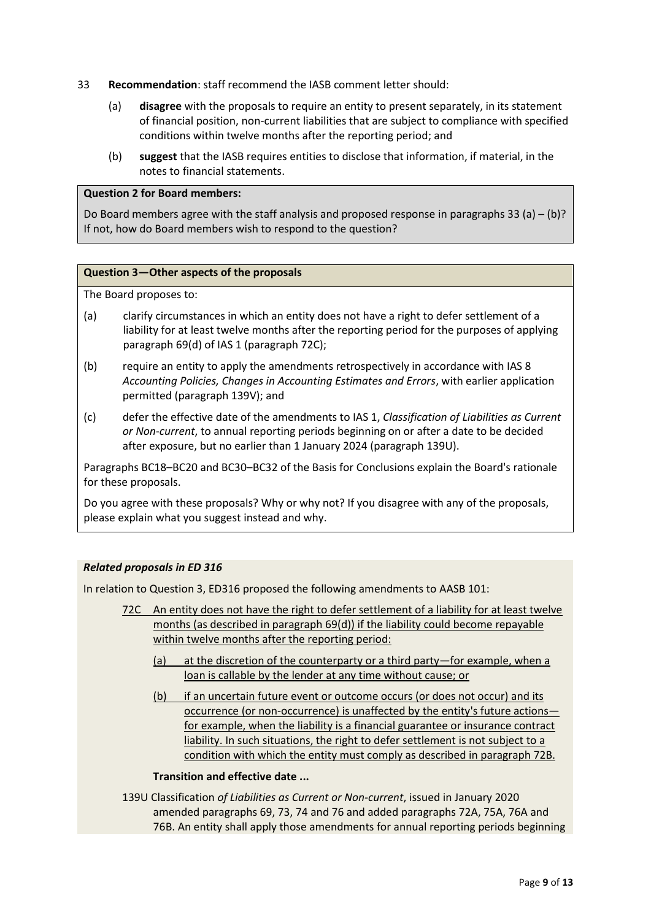- <span id="page-8-0"></span>33 **Recommendation**: staff recommend the IASB comment letter should:
	- (a) **disagree** with the proposals to require an entity to present separately, in its statement of financial position, non-current liabilities that are subject to compliance with specified conditions within twelve months after the reporting period; and
	- (b) **suggest** that the IASB requires entities to disclose that information, if material, in the notes to financial statements.

#### **Question 2 for Board members:**

Do Board members agree with the staff analysis and proposed response in paragraphs [33](#page-8-0) (a) – (b)? If not, how do Board members wish to respond to the question?

#### **Question 3—Other aspects of the proposals**

The Board proposes to:

- (a) clarify circumstances in which an entity does not have a right to defer settlement of a liability for at least twelve months after the reporting period for the purposes of applying paragraph 69(d) of IAS 1 (paragraph 72C);
- (b) require an entity to apply the amendments retrospectively in accordance with IAS 8 *Accounting Policies, Changes in Accounting Estimates and Errors*, with earlier application permitted (paragraph 139V); and
- (c) defer the effective date of the amendments to IAS 1, *Classification of Liabilities as Current or Non-current*, to annual reporting periods beginning on or after a date to be decided after exposure, but no earlier than 1 January 2024 (paragraph 139U).

Paragraphs BC18–BC20 and BC30–BC32 of the Basis for Conclusions explain the Board's rationale for these proposals.

Do you agree with these proposals? Why or why not? If you disagree with any of the proposals, please explain what you suggest instead and why.

## *Related proposals in ED 316*

In relation to Question 3, ED316 proposed the following amendments to AASB 101:

- 72C An entity does not have the right to defer settlement of a liability for at least twelve months (as described in paragraph 69(d)) if the liability could become repayable within twelve months after the reporting period:
	- (a) at the discretion of the counterparty or a third party—for example, when a loan is callable by the lender at any time without cause; or
	- (b) if an uncertain future event or outcome occurs (or does not occur) and its occurrence (or non-occurrence) is unaffected by the entity's future actions for example, when the liability is a financial guarantee or insurance contract liability. In such situations, the right to defer settlement is not subject to a condition with which the entity must comply as described in paragraph 72B.

## **Transition and effective date ...**

139U Classification *of Liabilities as Current or Non-current*, issued in January 2020 amended paragraphs 69, 73, 74 and 76 and added paragraphs 72A, 75A, 76A and 76B. An entity shall apply those amendments for annual reporting periods beginning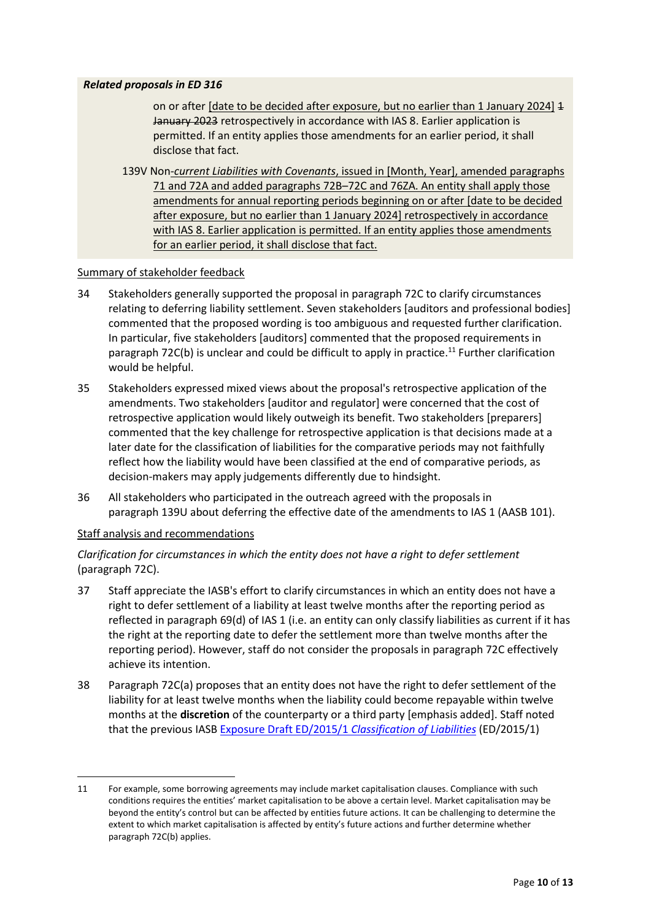## *Related proposals in ED 316*

on or after [date to be decided after exposure, but no earlier than 1 January 2024] 1 January 2023 retrospectively in accordance with IAS 8. Earlier application is permitted. If an entity applies those amendments for an earlier period, it shall disclose that fact.

139V Non*-current Liabilities with Covenants*, issued in [Month, Year], amended paragraphs 71 and 72A and added paragraphs 72B–72C and 76ZA. An entity shall apply those amendments for annual reporting periods beginning on or after [date to be decided after exposure, but no earlier than 1 January 2024] retrospectively in accordance with IAS 8. Earlier application is permitted. If an entity applies those amendments for an earlier period, it shall disclose that fact.

## Summary of stakeholder feedback

- 34 Stakeholders generally supported the proposal in paragraph 72C to clarify circumstances relating to deferring liability settlement. Seven stakeholders [auditors and professional bodies] commented that the proposed wording is too ambiguous and requested further clarification. In particular, five stakeholders [auditors] commented that the proposed requirements in paragraph 72C(b) is unclear and could be difficult to apply in practice.<sup>11</sup> Further clarification would be helpful.
- <span id="page-9-0"></span>35 Stakeholders expressed mixed views about the proposal's retrospective application of the amendments. Two stakeholders [auditor and regulator] were concerned that the cost of retrospective application would likely outweigh its benefit. Two stakeholders [preparers] commented that the key challenge for retrospective application is that decisions made at a later date for the classification of liabilities for the comparative periods may not faithfully reflect how the liability would have been classified at the end of comparative periods, as decision-makers may apply judgements differently due to hindsight.
- <span id="page-9-1"></span>36 All stakeholders who participated in the outreach agreed with the proposals in paragraph 139U about deferring the effective date of the amendments to IAS 1 (AASB 101).

## Staff analysis and recommendations

# *Clarification for circumstances in which the entity does not have a right to defer settlement* (paragraph 72C).

- 37 Staff appreciate the IASB's effort to clarify circumstances in which an entity does not have a right to defer settlement of a liability at least twelve months after the reporting period as reflected in paragraph 69(d) of IAS 1 (i.e. an entity can only classify liabilities as current if it has the right at the reporting date to defer the settlement more than twelve months after the reporting period). However, staff do not consider the proposals in paragraph 72C effectively achieve its intention.
- 38 Paragraph 72C(a) proposes that an entity does not have the right to defer settlement of the liability for at least twelve months when the liability could become repayable within twelve months at the **discretion** of the counterparty or a third party [emphasis added]. Staff noted that the previous IASB [Exposure Draft ED/2015/1](https://www.ifrs.org/content/dam/ifrs/project/classification-of-liabilities/published-documents/ed-classification-of-liabilities-prop-amdments-to-ias-1.pdf) *Classification of Liabilities* (ED/2015/1)

<sup>11</sup> For example, some borrowing agreements may include market capitalisation clauses. Compliance with such conditions requires the entities' market capitalisation to be above a certain level. Market capitalisation may be beyond the entity's control but can be affected by entities future actions. It can be challenging to determine the extent to which market capitalisation is affected by entity's future actions and further determine whether paragraph 72C(b) applies.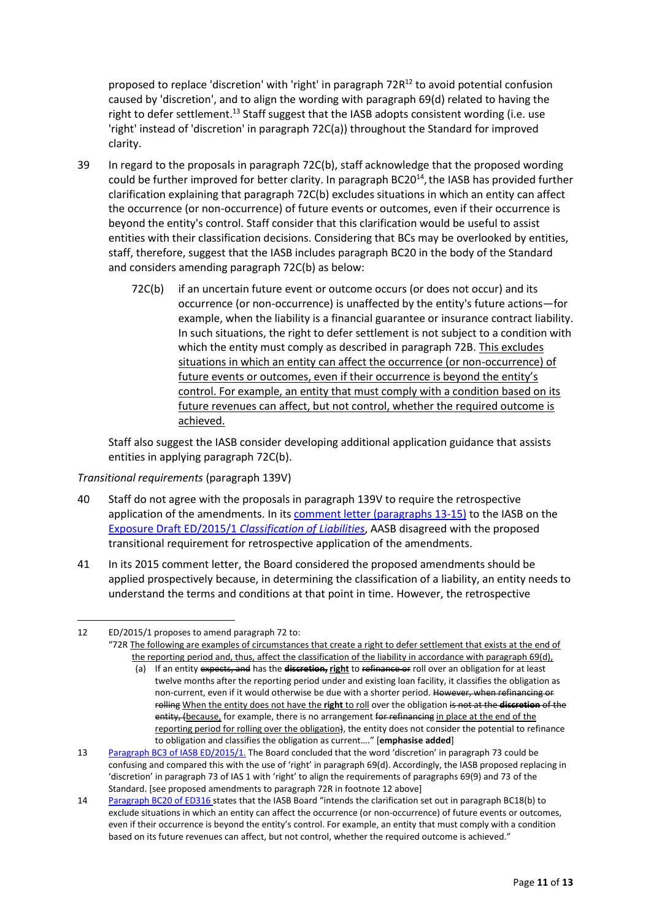<span id="page-10-0"></span>proposed to replace 'discretion' with 'right' in paragraph 72R <sup>12</sup> to avoid potential confusion caused by 'discretion', and to align the wording with paragraph 69(d) related to having the right to defer settlement.<sup>13</sup> Staff suggest that the IASB adopts consistent wording (i.e. use 'right' instead of 'discretion' in paragraph 72C(a)) throughout the Standard for improved clarity.

- 39 In regard to the proposals in paragraph 72C(b), staff acknowledge that the proposed wording could be further improved for better clarity. In paragraph BC20<sup>14</sup>, the IASB has provided further clarification explaining that paragraph 72C(b) excludes situations in which an entity can affect the occurrence (or non-occurrence) of future events or outcomes, even if their occurrence is beyond the entity's control. Staff consider that this clarification would be useful to assist entities with their classification decisions. Considering that BCs may be overlooked by entities, staff, therefore, suggest that the IASB includes paragraph BC20 in the body of the Standard and considers amending paragraph 72C(b) as below:
	- 72C(b) if an uncertain future event or outcome occurs (or does not occur) and its occurrence (or non-occurrence) is unaffected by the entity's future actions—for example, when the liability is a financial guarantee or insurance contract liability. In such situations, the right to defer settlement is not subject to a condition with which the entity must comply as described in paragraph 72B. This excludes situations in which an entity can affect the occurrence (or non-occurrence) of future events or outcomes, even if their occurrence is beyond the entity's control. For example, an entity that must comply with a condition based on its future revenues can affect, but not control, whether the required outcome is achieved.

Staff also suggest the IASB consider developing additional application guidance that assists entities in applying paragraph 72C(b).

*Transitional requirements* (paragraph 139V)

- 40 Staff do not agree with the proposals in paragraph 139V to require the retrospective application of the amendments. In its [comment letter](http://eifrs.ifrs.org/eifrs/comment_letters/48/48_5045_KrisPeachAustralianAccountingStandardsBoard_0_AASB_Submission_IASB_ED_2015_1_Classification_of_Liabilities.pdf) (paragraphs 13-15) to the IASB on the [Exposure Draft ED/2015/1](https://www.ifrs.org/content/dam/ifrs/project/classification-of-liabilities/published-documents/ed-classification-of-liabilities-prop-amdments-to-ias-1.pdf) *Classification of Liabilities*, AASB disagreed with the proposed transitional requirement for retrospective application of the amendments.
- 41 In its 2015 comment letter, the Board considered the proposed amendments should be applied prospectively because, in determining the classification of a liability, an entity needs to understand the terms and conditions at that point in time. However, the retrospective

<sup>12</sup> ED/2015/1 proposes to amend paragraph 72 to:

<sup>&</sup>quot;72R The following are examples of circumstances that create a right to defer settlement that exists at the end of the reporting period and, thus, affect the classification of the liability in accordance with paragraph 69(d),

<sup>(</sup>a) If an entity expects, and has the **discretion, right** to refinance or roll over an obligation for at least twelve months after the reporting period under and existing loan facility, it classifies the obligation as non-current, even if it would otherwise be due with a shorter period. However, when refinancing or rolling When the entity does not have the **right** to roll over the obligation is not at the **discretion** of the entity, (because, for example, there is no arrangement for refinancing in place at the end of the reporting period for rolling over the obligation), the entity does not consider the potential to refinance to obligation and classifies the obligation as current…." [**emphasise added**]

<sup>13</sup> [Paragraph BC3](https://www.ifrs.org/content/dam/ifrs/project/classification-of-liabilities/published-documents/ed-classification-of-liabilities-prop-amdments-to-ias-1.pdf) of IASB ED/2015/1. The Board concluded that the word 'discretion' in paragraph 73 could be confusing and compared this with the use of 'right' in paragraph 69(d). Accordingly, the IASB proposed replacing in 'discretion' in paragraph 73 of IAS 1 with 'right' to align the requirements of paragraphs 69(9) and 73 of the Standard. [see proposed amendments to paragraph 72R in footnote [12](#page-10-0) above]

<sup>14</sup> [Paragraph BC20](https://aasb.gov.au/admin/file/content105/c9/ACCED316_12-21.pdf) of ED316 states that the IASB Board "intends the clarification set out in paragraph BC18(b) to exclude situations in which an entity can affect the occurrence (or non-occurrence) of future events or outcomes, even if their occurrence is beyond the entity's control. For example, an entity that must comply with a condition based on its future revenues can affect, but not control, whether the required outcome is achieved."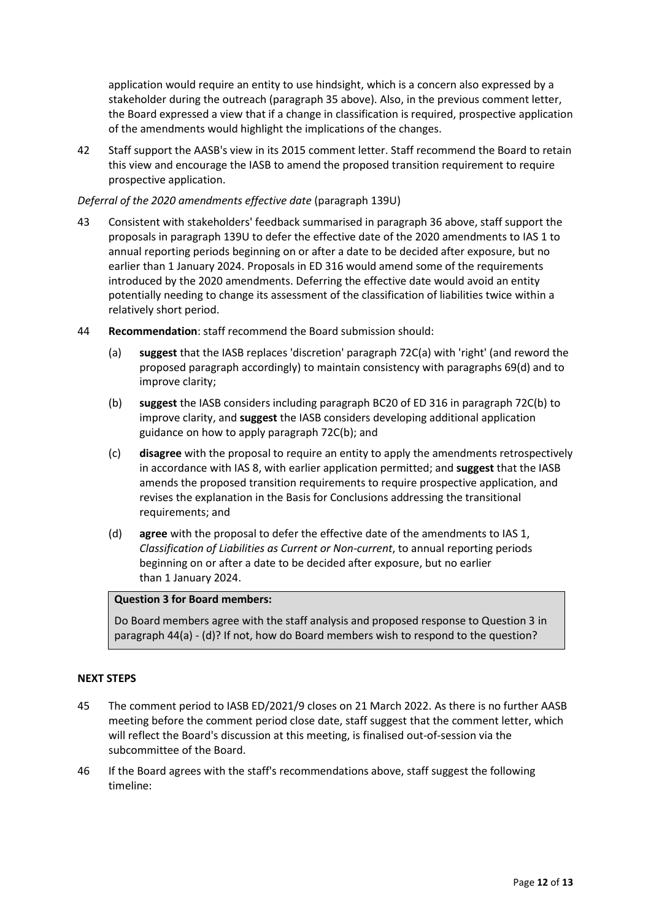application would require an entity to use hindsight, which is a concern also expressed by a stakeholder during the outreach (paragraph [35](#page-9-0) above). Also, in the previous comment letter, the Board expressed a view that if a change in classification is required, prospective application of the amendments would highlight the implications of the changes.

42 Staff support the AASB's view in its 2015 comment letter. Staff recommend the Board to retain this view and encourage the IASB to amend the proposed transition requirement to require prospective application.

#### *Deferral of the 2020 amendments effective date* (paragraph 139U)

- 43 Consistent with stakeholders' feedback summarised in paragraph [36](#page-9-1) above, staff support the proposals in paragraph 139U to defer the effective date of the 2020 amendments to IAS 1 to annual reporting periods beginning on or after a date to be decided after exposure, but no earlier than 1 January 2024. Proposals in ED 316 would amend some of the requirements introduced by the 2020 amendments. Deferring the effective date would avoid an entity potentially needing to change its assessment of the classification of liabilities twice within a relatively short period.
- <span id="page-11-0"></span>44 **Recommendation**: staff recommend the Board submission should:
	- (a) **suggest** that the IASB replaces 'discretion' paragraph 72C(a) with 'right' (and reword the proposed paragraph accordingly) to maintain consistency with paragraphs 69(d) and to improve clarity;
	- (b) **suggest** the IASB considers including paragraph BC20 of ED 316 in paragraph 72C(b) to improve clarity, and **suggest** the IASB considers developing additional application guidance on how to apply paragraph 72C(b); and
	- (c) **disagree** with the proposal to require an entity to apply the amendments retrospectively in accordance with IAS 8, with earlier application permitted; and **suggest** that the IASB amends the proposed transition requirements to require prospective application, and revises the explanation in the Basis for Conclusions addressing the transitional requirements; and
	- (d) **agree** with the proposal to defer the effective date of the amendments to IAS 1, *Classification of Liabilities as Current or Non-current*, to annual reporting periods beginning on or after a date to be decided after exposure, but no earlier than 1 January 2024.

## **Question 3 for Board members:**

Do Board members agree with the staff analysis and proposed response to Question 3 in paragraph [44\(](#page-11-0)a) - (d)? If not, how do Board members wish to respond to the question?

## <span id="page-11-1"></span>**NEXT STEPS**

- <span id="page-11-2"></span>45 The comment period to IASB ED/2021/9 closes on 21 March 2022. As there is no further AASB meeting before the comment period close date, staff suggest that the comment letter, which will reflect the Board's discussion at this meeting, is finalised out-of-session via the subcommittee of the Board.
- <span id="page-11-3"></span>46 If the Board agrees with the staff's recommendations above, staff suggest the following timeline: